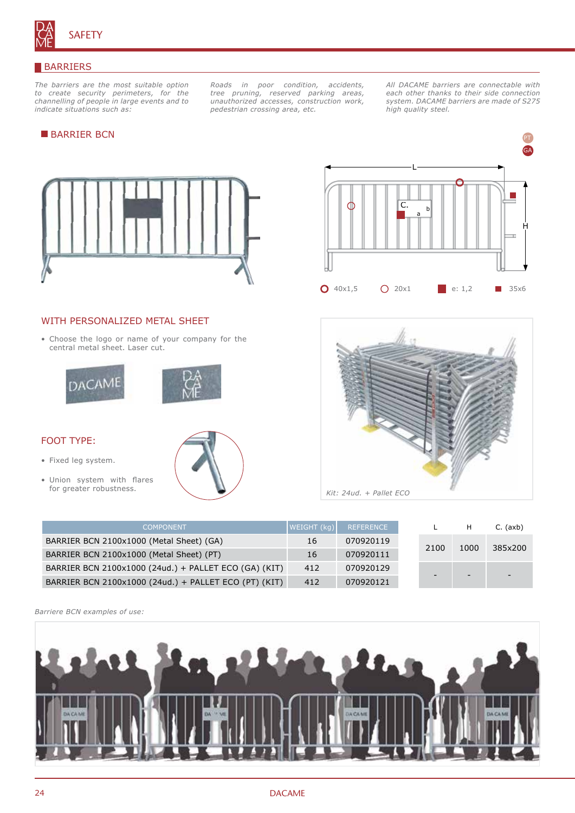

#### BARRIERS

*The barriers are the most suitable option to create security perimeters, for the channelling of people in large events and to indicate situations such as:*

*Roads in poor condition, accidents, tree pruning, reserved parking areas, unauthorized accesses, construction work, pedestrian crossing area, etc.*

*All DACAME barriers are connectable with each other thanks to their side connection system. DACAME barriers are made of S275 high quality steel.*

H

pt GA ga

# **BARRIER BCN**



# WITH PERSONALIZED METAL SHEET

• Choose the logo or name of your company for the central metal sheet. Laser cut.





# FOOT TYPE:

- Fixed leg system.
- Union system with flares for greater robustness.



**0** 40x1,5 **0** 20x1 **e**: 1,2 **3** 35x6

L

 $\overline{C}$ 

| <b>COMPONENT</b>                                      | WEIGHT (kg) | REFERENCE |                          |      | $C.$ (axb) |
|-------------------------------------------------------|-------------|-----------|--------------------------|------|------------|
| BARRIER BCN 2100x1000 (Metal Sheet) (GA)              | 16          | 070920119 | 2100                     | 1000 | 385x200    |
| BARRIER BCN 2100x1000 (Metal Sheet) (PT)              | 16          | 070920111 |                          |      |            |
| BARRIER BCN 2100x1000 (24ud.) + PALLET ECO (GA) (KIT) | 412         | 070920129 |                          |      |            |
| BARRIER BCN 2100x1000 (24ud.) + PALLET ECO (PT) (KIT) | 412         | 070920121 | $\overline{\phantom{0}}$ |      |            |

*Barriere BCN examples of use:*

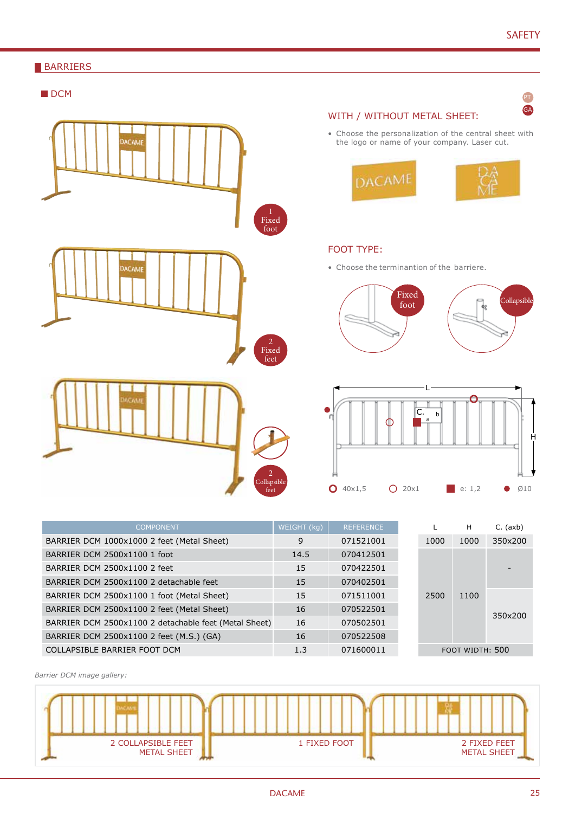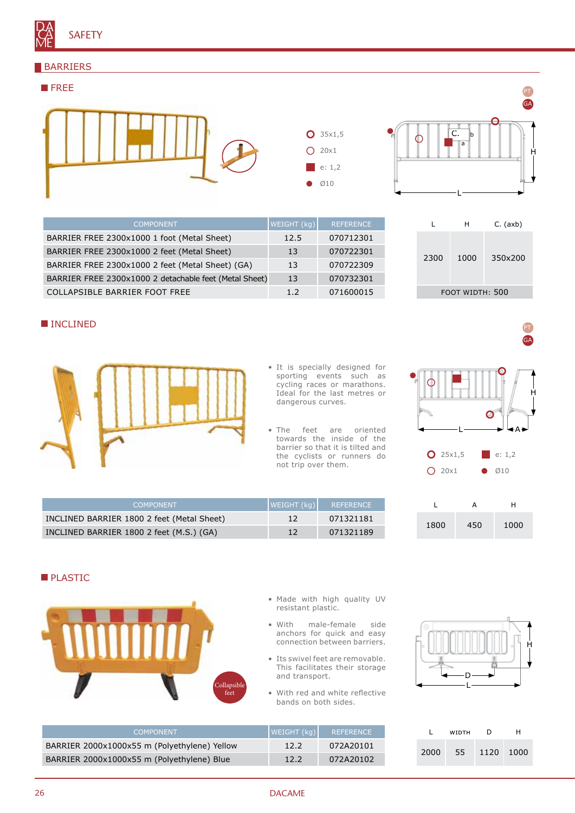# **BARRIERS**





pt

pt ga

GA

L H C. (axb)

2300 1000 350x200

FOOT WIDTH: 500

| <b>COMPONENT</b>                                       | WEIGHT (kg) | <b>REFERENCE</b> |
|--------------------------------------------------------|-------------|------------------|
| BARRIER FREE 2300x1000 1 foot (Metal Sheet)            | 12.5        | 070712301        |
| BARRIER FREE 2300x1000 2 feet (Metal Sheet)            | 13          | 070722301        |
| BARRIER FREE 2300x1000 2 feet (Metal Sheet) (GA)       | 13          | 070722309        |
| BARRIER FREE 2300x1000 2 detachable feet (Metal Sheet) | 13          | 070732301        |
| COLLAPSIBLE BARRIER FOOT FREE                          | 12          | 071600015        |

# **INCLINED**



- It is specially designed for sporting events such as cycling races or marathons. Ideal for the last metres or dangerous curves.
- The feet are oriented towards the inside of the barrier so that it is tilted and the cyclists or runners do not trip over them.

| C I        |     | ۱Α۱     |
|------------|-----|---------|
| $O$ 25x1,5 |     | e: 1, 2 |
| $O$ 20x1   | O.  | Ø10     |
| L          | A   | Η       |
| 1800       | 450 | 1000    |

| <b>COMPONENT</b>                           | WEIGHT (kg) | <b>NEFERENCE</b> |
|--------------------------------------------|-------------|------------------|
| INCLINED BARRIER 1800 2 feet (Metal Sheet) | 12          | 071321181        |
| INCLINED BARRIER 1800 2 feet (M.S.) (GA)   | 12          | 071321189        |

# **PLASTIC**



- Made with high quality UV resistant plastic.
- With male-female side anchors for quick and easy connection between barriers.
- Its swivel feet are removable. This facilitates their storage and transport.
- With red and white reflective bands on both sides.



|      | WIDTH | D    | н    |
|------|-------|------|------|
| 2000 | 55    | 1120 | 1000 |

| <b>COMPONENT</b>                             | WEIGHT (kg) | REFERENCE |
|----------------------------------------------|-------------|-----------|
| BARRIER 2000x1000x55 m (Polyethylene) Yellow | 12.2        | 072A20101 |
| BARRIER 2000x1000x55 m (Polyethylene) Blue   | 12.2        | 072A20102 |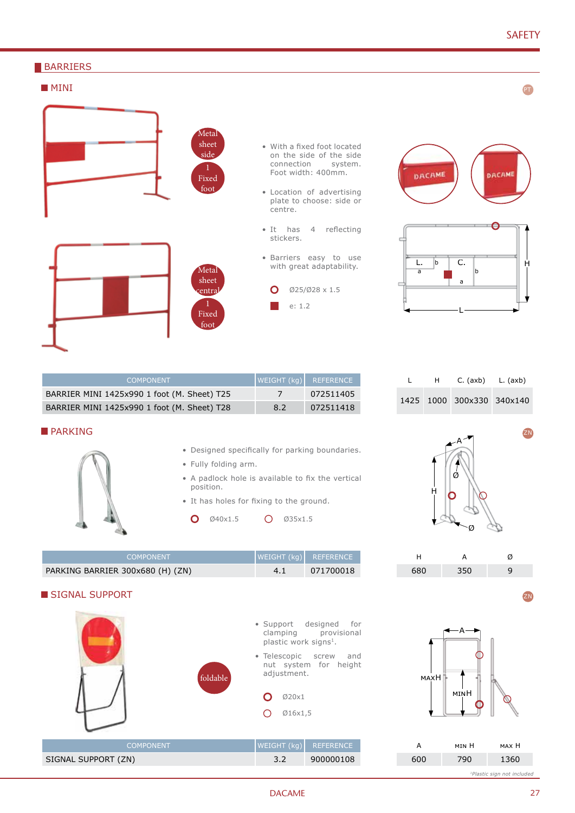PT

zn

### **BARRIERS**

# **MINI**



- With a fixed foot located on the side of the side<br>connection system. connection Foot width: 400mm.
- Location of advertising plate to choose: side or
- It has 4 reflecting stickers.
- Barriers easy to use with great adaptability.
	- Ø25/Ø28 x 1.5



L

|  | $H$ C. (axb) L. (axb)     |  |
|--|---------------------------|--|
|  | 1425 1000 300x330 340x140 |  |





- Designed specifically for parking boundaries.
- Fully folding arm.

BARRIER MINI 1425x990 1 foot (M. Sheet) T25 7 072511405 BARRIER MINI 1425x990 1 foot (M. Sheet) T28 8.2 072511418

- A padlock hole is available to fix the vertical position.
- It has holes for fixing to the ground.
- $\overline{O}$ Ø40x1.5 Ø35x1.5

COMPONENT WEIGHT (kg) REFERENCE

| <b>COMPONENT</b>                 |     | WEIGHT (kg)  REFERENCE |
|----------------------------------|-----|------------------------|
| PARKING BARRIER 300x680 (H) (ZN) | 4.1 | 071700018              |





H A Ø 680 350 9

Ø

Ø

A

H

| А   | <b>MTN</b> H | мах Н |
|-----|--------------|-------|
| 600 | 790          | 1360  |

*1Plastic sign not included*